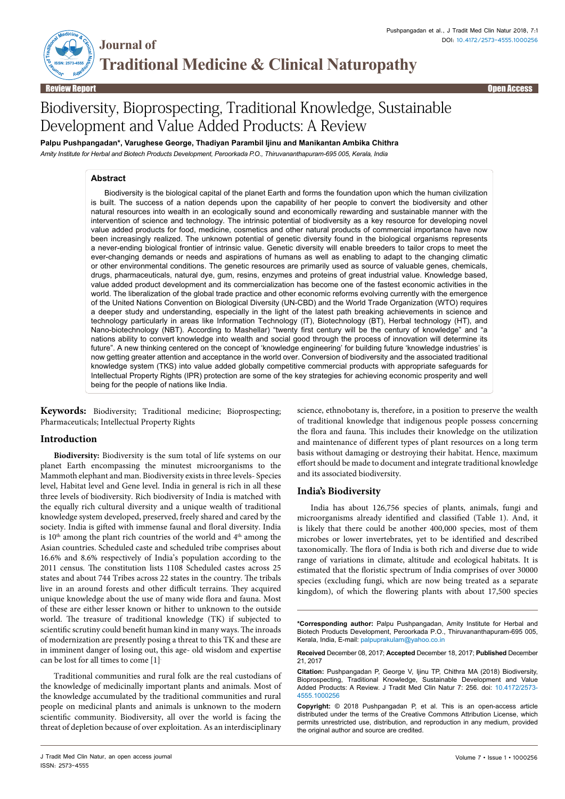

Review Report Open Access

# Biodiversity, Bioprospecting, Traditional Knowledge, Sustainable Development and Value Added Products: A Review

**Palpu Pushpangadan\*, Varughese George, Thadiyan Parambil Ijinu and Manikantan Ambika Chithra**

*Amity Institute for Herbal and Biotech Products Development, Peroorkada P.O., Thiruvananthapuram-695 005, Kerala, India*

## **Abstract**

**Journal of** 

Biodiversity is the biological capital of the planet Earth and forms the foundation upon which the human civilization is built. The success of a nation depends upon the capability of her people to convert the biodiversity and other natural resources into wealth in an ecologically sound and economically rewarding and sustainable manner with the intervention of science and technology. The intrinsic potential of biodiversity as a key resource for developing novel value added products for food, medicine, cosmetics and other natural products of commercial importance have now been increasingly realized. The unknown potential of genetic diversity found in the biological organisms represents a never-ending biological frontier of intrinsic value. Genetic diversity will enable breeders to tailor crops to meet the ever-changing demands or needs and aspirations of humans as well as enabling to adapt to the changing climatic or other environmental conditions. The genetic resources are primarily used as source of valuable genes, chemicals, drugs, pharmaceuticals, natural dye, gum, resins, enzymes and proteins of great industrial value. Knowledge based, value added product development and its commercialization has become one of the fastest economic activities in the world. The liberalization of the global trade practice and other economic reforms evolving currently with the emergence of the United Nations Convention on Biological Diversity (UN-CBD) and the World Trade Organization (WTO) requires a deeper study and understanding, especially in the light of the latest path breaking achievements in science and technology particularly in areas like Information Technology (IT), Biotechnology (BT), Herbal technology (HT), and Nano-biotechnology (NBT). According to Mashellar) "twenty first century will be the century of knowledge" and "a nations ability to convert knowledge into wealth and social good through the process of innovation will determine its future". A new thinking centered on the concept of 'knowledge engineering' for building future 'knowledge industries' is now getting greater attention and acceptance in the world over. Conversion of biodiversity and the associated traditional knowledge system (TKS) into value added globally competitive commercial products with appropriate safeguards for Intellectual Property Rights (IPR) protection are some of the key strategies for achieving economic prosperity and well being for the people of nations like India.

**Keywords:** Biodiversity; Traditional medicine; Bioprospecting; Pharmaceuticals; Intellectual Property Rights

# **Introduction**

**Biodiversity:** Biodiversity is the sum total of life systems on our planet Earth encompassing the minutest microorganisms to the Mammoth elephant and man. Biodiversity exists in three levels- Species level, Habitat level and Gene level. India in general is rich in all these three levels of biodiversity. Rich biodiversity of India is matched with the equally rich cultural diversity and a unique wealth of traditional knowledge system developed, preserved, freely shared and cared by the society. India is gifted with immense faunal and floral diversity. India is  $10<sup>th</sup>$  among the plant rich countries of the world and  $4<sup>th</sup>$  among the Asian countries. Scheduled caste and scheduled tribe comprises about 16.6% and 8.6% respectively of India's population according to the 2011 census. The constitution lists 1108 Scheduled castes across 25 states and about 744 Tribes across 22 states in the country. The tribals live in an around forests and other difficult terrains. They acquired unique knowledge about the use of many wide flora and fauna. Most of these are either lesser known or hither to unknown to the outside world. The treasure of traditional knowledge (TK) if subjected to scientific scrutiny could benefit human kind in many ways. The inroads of modernization are presently posing a threat to this TK and these are in imminent danger of losing out, this age- old wisdom and expertise can be lost for all times to come [1].

Traditional communities and rural folk are the real custodians of the knowledge of medicinally important plants and animals. Most of the knowledge accumulated by the traditional communities and rural people on medicinal plants and animals is unknown to the modern scientific community. Biodiversity, all over the world is facing the threat of depletion because of over exploitation. As an interdisciplinary science, ethnobotany is, therefore, in a position to preserve the wealth of traditional knowledge that indigenous people possess concerning the flora and fauna. This includes their knowledge on the utilization and maintenance of different types of plant resources on a long term basis without damaging or destroying their habitat. Hence, maximum effort should be made to document and integrate traditional knowledge and its associated biodiversity.

# **India's Biodiversity**

India has about 126,756 species of plants, animals, fungi and microorganisms already identified and classified (Table 1). And, it is likely that there could be another 400,000 species, most of them microbes or lower invertebrates, yet to be identified and described taxonomically. The flora of India is both rich and diverse due to wide range of variations in climate, altitude and ecological habitats. It is estimated that the floristic spectrum of India comprises of over 30000 species (excluding fungi, which are now being treated as a separate kingdom), of which the flowering plants with about 17,500 species

**<sup>\*</sup>Corresponding author:** Palpu Pushpangadan, Amity Institute for Herbal and Biotech Products Development, Peroorkada P.O., Thiruvananthapuram-695 005, Kerala, India, E-mail: palpuprakulam@yahoo.co.in

**Received** December 08, 2017; **Accepted** December 18, 2017; **Published** December 21, 2017

**Citation:** Pushpangadan P, George V, Ijinu TP, Chithra MA (2018) Biodiversity, Bioprospecting, Traditional Knowledge, Sustainable Development and Value Added Products: A Review. J Tradit Med Clin Natur 7: 256. doi: 10.4172/2573- 4555.1000256

**Copyright:** © 2018 Pushpangadan P, et al. This is an open-access article distributed under the terms of the Creative Commons Attribution License, which permits unrestricted use, distribution, and reproduction in any medium, provided the original author and source are credited.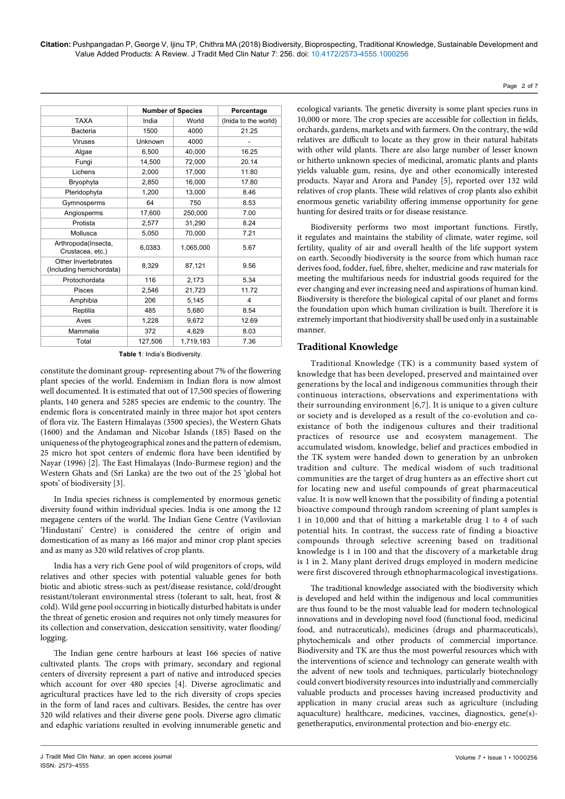**Citation:** Pushpangadan P, George V, Ijinu TP, Chithra MA (2018) Biodiversity, Bioprospecting, Traditional Knowledge, Sustainable Development and Value Added Products: A Review. J Tradit Med Clin Natur 7: 256. doi: 10.4172/2573-4555.1000256

|                                                 | <b>Number of Species</b> |           | Percentage           |
|-------------------------------------------------|--------------------------|-----------|----------------------|
| <b>TAXA</b>                                     | India                    | World     | (Inida to the world) |
| <b>Bacteria</b>                                 | 1500                     | 4000      | 21.25                |
| Viruses                                         | Unknown                  | 4000      |                      |
| Algae                                           | 6,500                    | 40,000    | 16.25                |
| Fungi                                           | 14.500                   | 72.000    | 20.14                |
| Lichens                                         | 2,000                    | 17,000    | 11.80                |
| Bryophyta                                       | 2,850                    | 16,000    | 17.80                |
| Pteridophyta                                    | 1,200                    | 13,000    | 8.46                 |
| Gymnosperms                                     | 64                       | 750       | 8.53                 |
| Angiosperms                                     | 17,600                   | 250,000   | 7.00                 |
| Protista                                        | 2,577                    | 31,290    | 8.24                 |
| Mollusca                                        | 5,050                    | 70,000    | 7.21                 |
| Arthropoda(Insecta,<br>Crustacea, etc.)         | 6,0383                   | 1,065,000 | 5.67                 |
| Other Invertebrates<br>(Including hemichordata) | 8,329                    | 87,121    | 9.56                 |
| Protochordata                                   | 116                      | 2,173     | 5.34                 |
| <b>Pisces</b>                                   | 2,546                    | 21,723    | 11.72                |
| Amphibia                                        | 206                      | 5,145     | 4                    |
| Reptilia                                        | 485                      | 5,680     | 8.54                 |
| Aves                                            | 1,228                    | 9,672     | 12.69                |
| Mammalia                                        | 372                      | 4,629     | 8.03                 |
| Total                                           | 127,506                  | 1,719,183 | 7.36                 |

**Table 1**: India's Biodiversity.

constitute the dominant group- representing about 7% of the flowering plant species of the world. Endemism in Indian flora is now almost well documented. It is estimated that out of 17,500 species of flowering plants, 140 genera and 5285 species are endemic to the country. The endemic flora is concentrated mainly in three major hot spot centers of flora viz. The Eastern Himalayas (3500 species), the Western Ghats (1600) and the Andaman and Nicobar Islands (185) Based on the uniqueness of the phytogeographical zones and the pattern of edemism, 25 micro hot spot centers of endemic flora have been identified by Nayar (1996) [2]. The East Himalayas (Indo-Burmese region) and the Western Ghats and (Sri Lanka) are the two out of the 25 'global hot spots' of biodiversity [3].

In India species richness is complemented by enormous genetic diversity found within individual species. India is one among the 12 megagene centers of the world. The Indian Gene Centre (Vavilovian 'Hindustani' Centre) is considered the centre of origin and domestication of as many as 166 major and minor crop plant species and as many as 320 wild relatives of crop plants.

India has a very rich Gene pool of wild progenitors of crops, wild relatives and other species with potential valuable genes for both biotic and abiotic stress-such as pest/disease resistance, cold/drought resistant/tolerant environmental stress (tolerant to salt, heat, frost & cold). Wild gene pool occurring in biotically disturbed habitats is under the threat of genetic erosion and requires not only timely measures for its collection and conservation, desiccation sensitivity, water flooding/ logging.

The Indian gene centre harbours at least 166 species of native cultivated plants. The crops with primary, secondary and regional centers of diversity represent a part of native and introduced species which account for over 480 species [4]. Diverse agroclimatic and agricultural practices have led to the rich diversity of crops species in the form of land races and cultivars. Besides, the centre has over 320 wild relatives and their diverse gene pools. Diverse agro climatic and edaphic variations resulted in evolving innumerable genetic and

ecological variants. The genetic diversity is some plant species runs in 10,000 or more. The crop species are accessible for collection in fields, orchards, gardens, markets and with farmers. On the contrary, the wild relatives are difficult to locate as they grow in their natural habitats with other wild plants. There are also large number of lesser known or hitherto unknown species of medicinal, aromatic plants and plants yields valuable gum, resins, dye and other economically interested products. Nayar and Arora and Pandey [5], reported over 132 wild relatives of crop plants. These wild relatives of crop plants also exhibit enormous genetic variability offering immense opportunity for gene hunting for desired traits or for disease resistance.

Biodiversity performs two most important functions. Firstly, it regulates and maintains the stability of climate, water regime, soil fertility, quality of air and overall health of the life support system on earth. Secondly biodiversity is the source from which human race derives food, fodder, fuel, fibre, shelter, medicine and raw materials for meeting the multifarious needs for industrial goods required for the ever changing and ever increasing need and aspirations of human kind. Biodiversity is therefore the biological capital of our planet and forms the foundation upon which human civilization is built. Therefore it is extremely important that biodiversity shall be used only in a sustainable manner.

# **Traditional Knowledge**

Traditional Knowledge (TK) is a community based system of knowledge that has been developed, preserved and maintained over generations by the local and indigenous communities through their continuous interactions, observations and experimentations with their surrounding environment [6,7]. It is unique to a given culture or society and is developed as a result of the co-evolution and coexistance of both the indigenous cultures and their traditional practices of resource use and ecosystem management. The accumulated wisdom, knowledge, belief and practices embodied in the TK system were handed down to generation by an unbroken tradition and culture. The medical wisdom of such traditional communities are the target of drug hunters as an effective short cut for locating new and useful compounds of great pharmaceutical value. It is now well known that the possibility of finding a potential bioactive compound through random screening of plant samples is 1 in 10,000 and that of hitting a marketable drug 1 to 4 of such potential hits. In contrast, the success rate of finding a bioactive compounds through selective screening based on traditional knowledge is 1 in 100 and that the discovery of a marketable drug is 1 in 2. Many plant derived drugs employed in modern medicine were first discovered through ethnopharmacological investigations.

The traditional knowledge associated with the biodiversity which is developed and held within the indigenous and local communities are thus found to be the most valuable lead for modern technological innovations and in developing novel food (functional food, medicinal food, and nutraceuticals), medicines (drugs and pharmaceuticals), phytochemicals and other products of commercial importance. Biodiversity and TK are thus the most powerful resources which with the interventions of science and technology can generate wealth with the advent of new tools and techniques, particularly biotechnology could convert biodiversity resources into industrially and commercially valuable products and processes having increased productivity and application in many crucial areas such as agriculture (including aquaculture) healthcare, medicines, vaccines, diagnostics, gene(s) genetheraputics, environmental protection and bio-energy etc.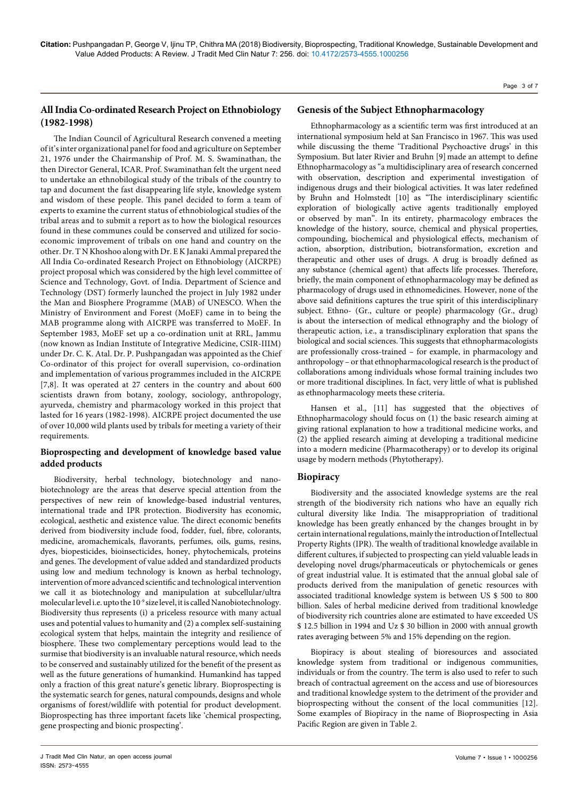#### Page 3 of 7

# **All India Co-ordinated Research Project on Ethnobiology (1982-1998)**

The Indian Council of Agricultural Research convened a meeting of it's inter organizational panel for food and agriculture on September 21, 1976 under the Chairmanship of Prof. M. S. Swaminathan, the then Director General, ICAR. Prof. Swaminathan felt the urgent need to undertake an ethnobilogical study of the tribals of the country to tap and document the fast disappearing life style, knowledge system and wisdom of these people. This panel decided to form a team of experts to examine the current status of ethnobiological studies of the tribal areas and to submit a report as to how the biological resources found in these communes could be conserved and utilized for socioeconomic improvement of tribals on one hand and country on the other. Dr. T N Khoshoo along with Dr. E K Janaki Ammal prepared the All India Co-ordinated Research Project on Ethnobiology (AICRPE) project proposal which was considered by the high level committee of Science and Technology, Govt. of India. Department of Science and Technology (DST) formerly launched the project in July 1982 under the Man and Biosphere Programme (MAB) of UNESCO. When the Ministry of Environment and Forest (MoEF) came in to being the MAB programme along with AICRPE was transferred to MoEF. In September 1983, MoEF set up a co-ordination unit at RRL, Jammu (now known as Indian Institute of Integrative Medicine, CSIR-IIIM) under Dr. C. K. Atal. Dr. P. Pushpangadan was appointed as the Chief Co-ordinator of this project for overall supervision, co-ordination and implementation of various programmes included in the AICRPE [7,8]. It was operated at 27 centers in the country and about 600 scientists drawn from botany, zoology, sociology, anthropology, ayurveda, chemistry and pharmacology worked in this project that lasted for 16 years (1982-1998). AICRPE project documented the use of over 10,000 wild plants used by tribals for meeting a variety of their requirements.

# **Bioprospecting and development of knowledge based value added products**

Biodiversity, herbal technology, biotechnology and nanobiotechnology are the areas that deserve special attention from the perspectives of new rein of knowledge-based industrial ventures, international trade and IPR protection. Biodiversity has economic, ecological, aesthetic and existence value. The direct economic benefits derived from biodiversity include food, fodder, fuel, fibre, colorants, medicine, aromachemicals, flavorants, perfumes, oils, gums, resins, dyes, biopesticides, bioinsecticides, honey, phytochemicals, proteins and genes. The development of value added and standardized products using low and medium technology is known as herbal technology, intervention of more advanced scientific and technological intervention we call it as biotechnology and manipulation at subcellular/ultra molecular level i.e. upto the  $10^{-9}$  size level, it is called Nanobiotechnology. Biodiversity thus represents (i) a priceless resource with many actual uses and potential values to humanity and (2) a complex self-sustaining ecological system that helps, maintain the integrity and resilience of biosphere. These two complementary perceptions would lead to the surmise that biodiversity is an invaluable natural resource, which needs to be conserved and sustainably utilized for the benefit of the present as well as the future generations of humankind. Humankind has tapped only a fraction of this great nature's genetic library. Bioprospecting is the systematic search for genes, natural compounds, designs and whole organisms of forest/wildlife with potential for product development. Bioprospecting has three important facets like 'chemical prospecting, gene prospecting and bionic prospecting'.

## **Genesis of the Subject Ethnopharmacology**

Ethnopharmacology as a scientific term was first introduced at an international symposium held at San Francisco in 1967. This was used while discussing the theme 'Traditional Psychoactive drugs' in this Symposium. But later Rivier and Bruhn [9] made an attempt to define Ethnopharmacology as "a multidisciplinary area of research concerned with observation, description and experimental investigation of indigenous drugs and their biological activities. It was later redefined by Bruhn and Holmstedt [10] as "The interdisciplinary scientific exploration of biologically active agents traditionally employed or observed by man". In its entirety, pharmacology embraces the knowledge of the history, source, chemical and physical properties, compounding, biochemical and physiological effects, mechanism of action, absorption, distribution, biotransformation, excretion and therapeutic and other uses of drugs. A drug is broadly defined as any substance (chemical agent) that affects life processes. Therefore, briefly, the main component of ethnopharmacology may be defined as pharmacology of drugs used in ethnomedicines. However, none of the above said definitions captures the true spirit of this interdisciplinary subject. Ethno- (Gr., culture or people) pharmacology (Gr., drug) is about the intersection of medical ethnography and the biology of therapeutic action, i.e., a transdisciplinary exploration that spans the biological and social sciences. This suggests that ethnopharmacologists are professionally cross-trained – for example, in pharmacology and anthropology – or that ethnopharmacological research is the product of collaborations among individuals whose formal training includes two or more traditional disciplines. In fact, very little of what is published as ethnopharmacology meets these criteria.

[Hansen](https://www.researchgate.net/scientific-contributions/2073041966_Klaus_Hansen) et al., [11] has suggested that the objectives of Ethnopharmacology should focus on (1) the basic research aiming at giving rational explanation to how a traditional medicine works, and (2) the applied research aiming at developing a traditional medicine into a modern medicine (Pharmacotherapy) or to develop its original usage by modern methods (Phytotherapy).

## **Biopiracy**

Biodiversity and the associated knowledge systems are the real strength of the biodiversity rich nations who have an equally rich cultural diversity like India. The misappropriation of traditional knowledge has been greatly enhanced by the changes brought in by certain international regulations, mainly the introduction of Intellectual Property Rights (IPR). The wealth of traditional knowledge available in different cultures, if subjected to prospecting can yield valuable leads in developing novel drugs/pharmaceuticals or phytochemicals or genes of great industrial value. It is estimated that the annual global sale of products derived from the manipulation of genetic resources with associated traditional knowledge system is between US \$ 500 to 800 billion. Sales of herbal medicine derived from traditional knowledge of biodiversity rich countries alone are estimated to have exceeded US \$ 12.5 billion in 1994 and Uz \$ 30 billion in 2000 with annual growth rates averaging between 5% and 15% depending on the region.

Biopiracy is about stealing of bioresources and associated knowledge system from traditional or indigenous communities, individuals or from the country. The term is also used to refer to such breach of contractual agreement on the access and use of bioresources and traditional knowledge system to the detriment of the provider and bioprospecting without the consent of the local communities [12]. Some examples of Biopiracy in the name of Bioprospecting in Asia Pacific Region are given in Table 2.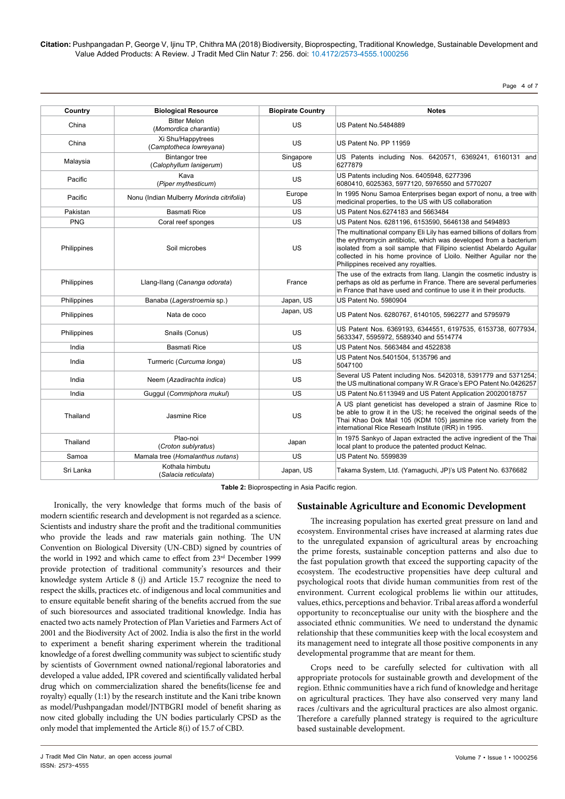**Citation:** Pushpangadan P, George V, Ijinu TP, Chithra MA (2018) Biodiversity, Bioprospecting, Traditional Knowledge, Sustainable Development and Value Added Products: A Review. J Tradit Med Clin Natur 7: 256. doi: 10.4172/2573-4555.1000256

Page 4 of 7

| Country            | <b>Biological Resource</b>                       | <b>Biopirate Country</b> | <b>Notes</b>                                                                                                                                                                                                                                                                                                                    |  |
|--------------------|--------------------------------------------------|--------------------------|---------------------------------------------------------------------------------------------------------------------------------------------------------------------------------------------------------------------------------------------------------------------------------------------------------------------------------|--|
| China              | <b>Bitter Melon</b><br>(Momordica charantia)     | US                       | <b>US Patent No.5484889</b>                                                                                                                                                                                                                                                                                                     |  |
| China              | Xi Shu/Happytrees<br>(Camptotheca lowreyana)     | US                       | US Patent No. PP 11959                                                                                                                                                                                                                                                                                                          |  |
| Malaysia           | <b>Bintangor tree</b><br>(Calophyllum lanigerum) | Singapore<br><b>US</b>   | US Patents including Nos. 6420571, 6369241, 6160131 and<br>6277879                                                                                                                                                                                                                                                              |  |
| Pacific            | Kava<br>(Piper mythesticum)                      | US                       | US Patents including Nos. 6405948, 6277396<br>6080410, 6025363, 5977120, 5976550 and 5770207                                                                                                                                                                                                                                    |  |
| Pacific            | Nonu (Indian Mulberry Morinda citrifolia)        | Europe<br>US             | In 1995 Nonu Samoa Enterprises began export of nonu, a tree with<br>medicinal properties, to the US with US collaboration                                                                                                                                                                                                       |  |
| Pakistan           | <b>Basmati Rice</b>                              | US                       | US Patent Nos.6274183 and 5663484                                                                                                                                                                                                                                                                                               |  |
| <b>PNG</b>         | Coral reef sponges                               | US                       | US Patent Nos. 6281196, 6153590, 5646138 and 5494893                                                                                                                                                                                                                                                                            |  |
| Philippines        | Soil microbes                                    | <b>US</b>                | The multinational company Eli Lily has earned billions of dollars from<br>the erythromycin antibiotic, which was developed from a bacterium<br>isolated from a soil sample that Filipino scientist Abelardo Aquilar<br>collected in his home province of Lloilo. Neither Aguilar nor the<br>Philippines received any royalties. |  |
| Philippines        | Llang-Ilang (Cananga odorata)                    | France                   | The use of the extracts from Ilang. Llangin the cosmetic industry is<br>perhaps as old as perfume in France. There are several perfumeries<br>in France that have used and continue to use it in their products.                                                                                                                |  |
| Philippines        | Banaba (Lagerstroemia sp.)                       | Japan, US                | US Patent No. 5980904                                                                                                                                                                                                                                                                                                           |  |
| <b>Philippines</b> | Nata de coco                                     | Japan, US                | US Patent Nos. 6280767, 6140105, 5962277 and 5795979                                                                                                                                                                                                                                                                            |  |
| Philippines        | Snails (Conus)                                   | US.                      | US Patent Nos. 6369193, 6344551, 6197535, 6153738, 6077934,<br>5633347, 5595972, 5589340 and 5514774                                                                                                                                                                                                                            |  |
| India              | <b>Basmati Rice</b>                              | US                       | US Patent Nos. 5663484 and 4522838                                                                                                                                                                                                                                                                                              |  |
| India              | Turmeric (Curcuma longa)                         | US                       | US Patent Nos.5401504, 5135796 and<br>5047100                                                                                                                                                                                                                                                                                   |  |
| India              | Neem (Azadirachta indica)                        | US                       | Several US Patent including Nos. 5420318, 5391779 and 5371254;<br>the US multinational company W.R Grace's EPO Patent No.0426257                                                                                                                                                                                                |  |
| India              | Guggul (Commiphora mukul)                        | <b>US</b>                | US Patent No.6113949 and US Patent Application 20020018757                                                                                                                                                                                                                                                                      |  |
| Thailand           | Jasmine Rice                                     | US                       | A US plant geneticist has developed a strain of Jasmine Rice to<br>be able to grow it in the US; he received the original seeds of the<br>Thai Khao Dok Mail 105 (KDM 105) jasmine rice variety from the<br>international Rice Researh Institute (IRR) in 1995.                                                                 |  |
| Thailand           | Plao-noi<br>(Croton sublyratus)                  | Japan                    | In 1975 Sankyo of Japan extracted the active ingredient of the Thai<br>local plant to produce the patented product Kelnac.                                                                                                                                                                                                      |  |
| Samoa              | Mamala tree (Homalanthus nutans)                 | US                       | US Patent No. 5599839                                                                                                                                                                                                                                                                                                           |  |
| Sri Lanka          | Kothala himbutu<br>(Salacia reticulata)          | Japan, US                | Takama System, Ltd. (Yamaguchi, JP)'s US Patent No. 6376682                                                                                                                                                                                                                                                                     |  |

**Table 2:** Bioprospecting in Asia Pacific region.

Ironically, the very knowledge that forms much of the basis of modern scientific research and development is not regarded as a science. Scientists and industry share the profit and the traditional communities who provide the leads and raw materials gain nothing. The UN Convention on Biological Diversity (UN-CBD) signed by countries of the world in 1992 and which came to effect from 23<sup>rd</sup> December 1999 provide protection of traditional community's resources and their knowledge system Article 8 (j) and Article 15.7 recognize the need to respect the skills, practices etc. of indigenous and local communities and to ensure equitable benefit sharing of the benefits accrued from the sue of such bioresources and associated traditional knowledge. India has enacted two acts namely Protection of Plan Varieties and Farmers Act of 2001 and the Biodiversity Act of 2002. India is also the first in the world to experiment a benefit sharing experiment wherein the traditional knowledge of a forest dwelling community was subject to scientific study by scientists of Government owned national/regional laboratories and developed a value added, IPR covered and scientifically validated herbal drug which on commercialization shared the benefits(license fee and royalty) equally (1:1) by the research institute and the Kani tribe known as model/Pushpangadan model/JNTBGRI model of benefit sharing as now cited globally including the UN bodies particularly CPSD as the only model that implemented the Article 8(i) of 15.7 of CBD.

# **Sustainable Agriculture and Economic Development**

The increasing population has exerted great pressure on land and ecosystem. Environmental crises have increased at alarming rates due to the unregulated expansion of agricultural areas by encroaching the prime forests, sustainable conception patterns and also due to the fast population growth that exceed the supporting capacity of the ecosystem. The ecodestructive propensities have deep cultural and psychological roots that divide human communities from rest of the environment. Current ecological problems lie within our attitudes, values, ethics, perceptions and behavior. Tribal areas afford a wonderful opportunity to reconceptualise our unity with the biosphere and the associated ethnic communities. We need to understand the dynamic relationship that these communities keep with the local ecosystem and its management need to integrate all those positive components in any developmental programme that are meant for them.

Crops need to be carefully selected for cultivation with all appropriate protocols for sustainable growth and development of the region. Ethnic communities have a rich fund of knowledge and heritage on agricultural practices. They have also conserved very many land races /cultivars and the agricultural practices are also almost organic. Therefore a carefully planned strategy is required to the agriculture based sustainable development.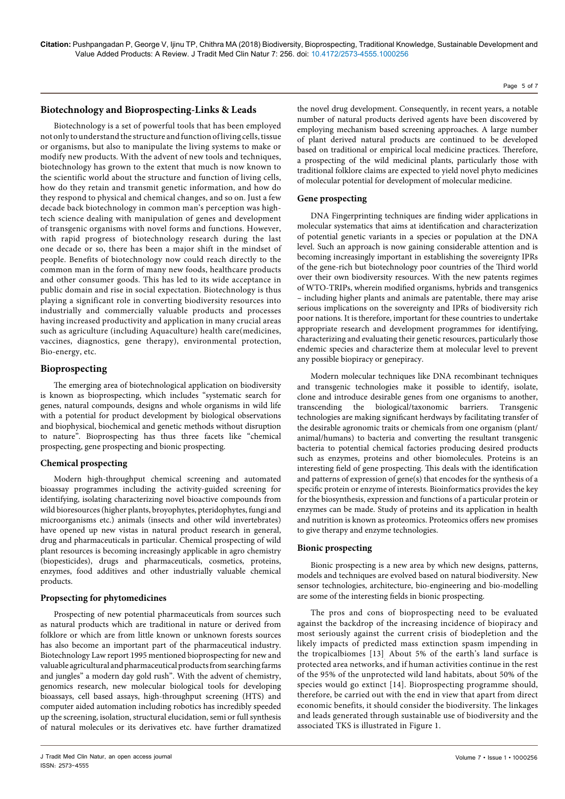## **Biotechnology and Bioprospecting-Links & Leads**

Biotechnology is a set of powerful tools that has been employed not only to understand the structure and function of living cells, tissue or organisms, but also to manipulate the living systems to make or modify new products. With the advent of new tools and techniques, biotechnology has grown to the extent that much is now known to the scientific world about the structure and function of living cells, how do they retain and transmit genetic information, and how do they respond to physical and chemical changes, and so on. Just a few decade back biotechnology in common man's perception was hightech science dealing with manipulation of genes and development of transgenic organisms with novel forms and functions. However, with rapid progress of biotechnology research during the last one decade or so, there has been a major shift in the mindset of people. Benefits of biotechnology now could reach directly to the common man in the form of many new foods, healthcare products and other consumer goods. This has led to its wide acceptance in public domain and rise in social expectation. Biotechnology is thus playing a significant role in converting biodiversity resources into industrially and commercially valuable products and processes having increased productivity and application in many crucial areas such as agriculture (including Aquaculture) health care(medicines, vaccines, diagnostics, gene therapy), environmental protection, Bio-energy, etc.

## **Bioprospecting**

The emerging area of biotechnological application on biodiversity is known as bioprospecting, which includes "systematic search for genes, natural compounds, designs and whole organisms in wild life with a potential for product development by biological observations and biophysical, biochemical and genetic methods without disruption to nature". Bioprospecting has thus three facets like "chemical prospecting, gene prospecting and bionic prospecting.

## **Chemical prospecting**

Modern high-throughput chemical screening and automated bioassay programmes including the activity-guided screening for identifying, isolating characterizing novel bioactive compounds from wild bioresources (higher plants, broyophytes, pteridophytes, fungi and microorganisms etc.) animals (insects and other wild invertebrates) have opened up new vistas in natural product research in general, drug and pharmaceuticals in particular. Chemical prospecting of wild plant resources is becoming increasingly applicable in agro chemistry (biopesticides), drugs and pharmaceuticals, cosmetics, proteins, enzymes, food additives and other industrially valuable chemical products.

### **Propsecting for phytomedicines**

Prospecting of new potential pharmaceuticals from sources such as natural products which are traditional in nature or derived from folklore or which are from little known or unknown forests sources has also become an important part of the pharmaceutical industry. Biotechnology Law report 1995 mentioned bioprospecting for new and valuable agricultural and pharmaceutical products from searching farms and jungles" a modern day gold rush". With the advent of chemistry, genomics research, new molecular biological tools for developing bioassays, cell based assays, high-throughput screening (HTS) and computer aided automation including robotics has incredibly speeded up the screening, isolation, structural elucidation, semi or full synthesis of natural molecules or its derivatives etc. have further dramatized

the novel drug development. Consequently, in recent years, a notable number of natural products derived agents have been discovered by employing mechanism based screening approaches. A large number of plant derived natural products are continued to be developed based on traditional or empirical local medicine practices. Therefore, a prospecting of the wild medicinal plants, particularly those with traditional folklore claims are expected to yield novel phyto medicines of molecular potential for development of molecular medicine.

#### **Gene prospecting**

DNA Fingerprinting techniques are finding wider applications in molecular systematics that aims at identification and characterization of potential genetic variants in a species or population at the DNA level. Such an approach is now gaining considerable attention and is becoming increasingly important in establishing the sovereignty IPRs of the gene-rich but biotechnology poor countries of the Third world over their own biodiversity resources. With the new patents regimes of WTO-TRIPs, wherein modified organisms, hybrids and transgenics – including higher plants and animals are patentable, there may arise serious implications on the sovereignty and IPRs of biodiversity rich poor nations. It is therefore, important for these countries to undertake appropriate research and development programmes for identifying, characterizing and evaluating their genetic resources, particularly those endemic species and characterize them at molecular level to prevent any possible biopiracy or genepiracy.

Modern molecular techniques like DNA recombinant techniques and transgenic technologies make it possible to identify, isolate, clone and introduce desirable genes from one organisms to another, transcending the biological/taxonomic barriers. Transgenic technologies are making significant herdways by facilitating transfer of the desirable agronomic traits or chemicals from one organism (plant/ animal/humans) to bacteria and converting the resultant transgenic bacteria to potential chemical factories producing desired products such as enzymes, proteins and other biomolecules. Proteins is an interesting field of gene prospecting. This deals with the identification and patterns of expression of gene(s) that encodes for the synthesis of a specific protein or enzyme of interests. Bioinformatics provides the key for the biosynthesis, expression and functions of a particular protein or enzymes can be made. Study of proteins and its application in health and nutrition is known as proteomics. Proteomics offers new promises to give therapy and enzyme technologies.

## **Bionic prospecting**

Bionic prospecting is a new area by which new designs, patterns, models and techniques are evolved based on natural biodiversity. New sensor technologies, architecture, bio-engineering and bio-modelling are some of the interesting fields in bionic prospecting.

The pros and cons of bioprospecting need to be evaluated against the backdrop of the increasing incidence of biopiracy and most seriously against the current crisis of biodepletion and the likely impacts of predicted mass extinction spasm impending in the tropicalbiomes [13]. About 5% of the earth's land surface is protected area networks, and if human activities continue in the rest of the 95% of the unprotected wild land habitats, about 50% of the species would go extinct [14]. Bioprospecting programme should, therefore, be carried out with the end in view that apart from direct economic benefits, it should consider the biodiversity. The linkages and leads generated through sustainable use of biodiversity and the associated TKS is illustrated in Figure 1.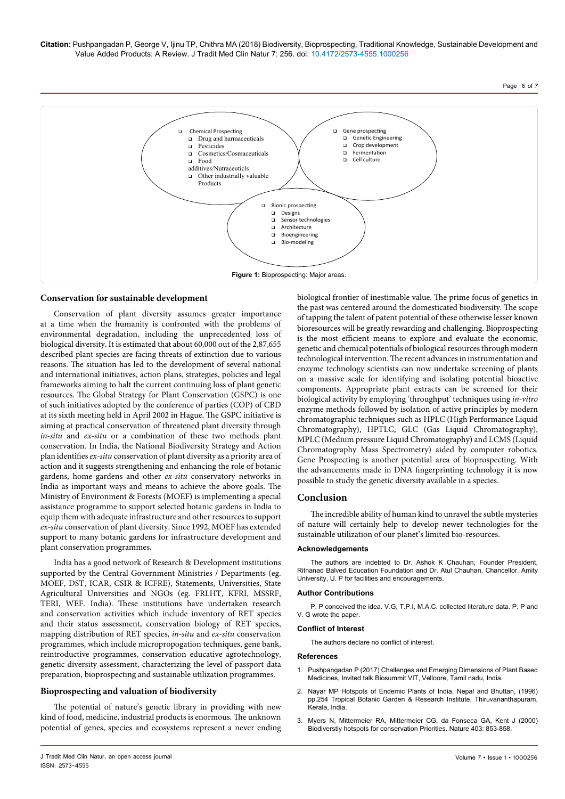**Citation:** Pushpangadan P, George V, Ijinu TP, Chithra MA (2018) Biodiversity, Bioprospecting, Traditional Knowledge, Sustainable Development and Value Added Products: A Review. J Tradit Med Clin Natur 7: 256. doi: 10.4172/2573-4555.1000256



## **Conservation for sustainable development**

Conservation of plant diversity assumes greater importance at a time when the humanity is confronted with the problems of environmental degradation, including the unprecedented loss of biological diversity. It is estimated that about 60,000 out of the 2,87,655 described plant species are facing threats of extinction due to various reasons. The situation has led to the development of several national and international initiatives, action plans, strategies, policies and legal frameworks aiming to halt the current continuing loss of plant genetic resources. The Global Strategy for Plant Conservation (GSPC) is one of such initiatives adopted by the conference of parties (COP) of CBD at its sixth meeting held in April 2002 in Hague. The GSPC initiative is aiming at practical conservation of threatened plant diversity through *in-situ* and *ex-situ* or a combination of these two methods plant conservation. In India, the National Biodiversity Strategy and Action plan identifies *ex-situ* conservation of plant diversity as a priority area of action and it suggests strengthening and enhancing the role of botanic gardens, home gardens and other *ex-situ* conservatory networks in India as important ways and means to achieve the above goals. The Ministry of Environment & Forests (MOEF) is implementing a special assistance programme to support selected botanic gardens in India to equip them with adequate infrastructure and other resources to support *ex-situ* conservation of plant diversity. Since 1992, MOEF has extended support to many botanic gardens for infrastructure development and plant conservation programmes.

India has a good network of Research & Development institutions supported by the Central Government Ministries / Departments (eg. MOEF, DST, ICAR, CSIR & ICFRE), Statements, Universities, State Agricultural Universities and NGOs (eg. FRLHT, KFRI, MSSRF, TERI, WEF. India). These institutions have undertaken research and conservation activities which include inventory of RET species and their status assessment, conservation biology of RET species, mapping distribution of RET species, *in-situ* and *ex-situ* conservation programmes, which include micropropogation techniques, gene bank, reintroductive programmes, conservation educative agrotechnology, genetic diversity assessment, characterizing the level of passport data preparation, bioprospecting and sustainable utilization programmes.

## **Bioprospecting and valuation of biodiversity**

The potential of nature's genetic library in providing with new kind of food, medicine, industrial products is enormous. The unknown potential of genes, species and ecosystems represent a never ending

biological frontier of inestimable value. The prime focus of genetics in the past was centered around the domesticated biodiversity. The scope of tapping the talent of patent potential of these otherwise lesser known bioresources will be greatly rewarding and challenging. Bioprospecting is the most efficient means to explore and evaluate the economic, genetic and chemical potentials of biological resources through modern technological intervention. The recent advances in instrumentation and enzyme technology scientists can now undertake screening of plants on a massive scale for identifying and isolating potential bioactive components. Appropriate plant extracts can be screened for their biological activity by employing 'throughput' techniques using *in-vitro*  enzyme methods followed by isolation of active principles by modern chromatographic techniques such as HPLC (High Performance Liquid Chromatography), HPTLC, GLC (Gas Liquid Chromatography), MPLC (Medium pressure Liquid Chromatography) and LCMS (Liquid Chromatography Mass Spectrometry) aided by computer robotics. Gene Prospecting is another potential area of bioprospecting. With the advancements made in DNA fingerprinting technology it is now possible to study the genetic diversity available in a species.

## **Conclusion**

The incredible ability of human kind to unravel the subtle mysteries of nature will certainly help to develop newer technologies for the sustainable utilization of our planet's limited bio-resources.

#### **Acknowledgements**

The authors are indebted to Dr. Ashok K Chauhan, Founder President, Ritnanad Balved Education Foundation and Dr. Atul Chauhan, Chancellor, Amity University, U. P for facilities and encouragements.

#### **Author Contributions**

P. P conceived the idea. V.G, T.P.I, M.A.C. collected literature data. P. P and V. G wrote the paper.

#### **Conflict of Interest**

The authors declare no conflict of interest.

#### **References**

- 1. Pushpangadan P (2017) Challenges and Emerging Dimensions of Plant Based Medicines, Invited talk Biosummit VIT, Velloore, Tamil nadu, India.
- 2. Nayar MP Hotspots of Endemic Plants of India, Nepal and Bhuttan, (1996) pp.254 Tropical Botanic Garden & Research Institute, Thiruvananthapuram, Kerala, India.
- 3. [Myers N, Mittermeier RA, Mittermeier CG, da Fonseca GA, Kent J \(2000\)](https://doi.org/10.1038/35002501)  [Biodiverstiy hotspots for conservation Priorities. Nature 403: 853-858.](https://doi.org/10.1038/35002501)

Page 6 of 7